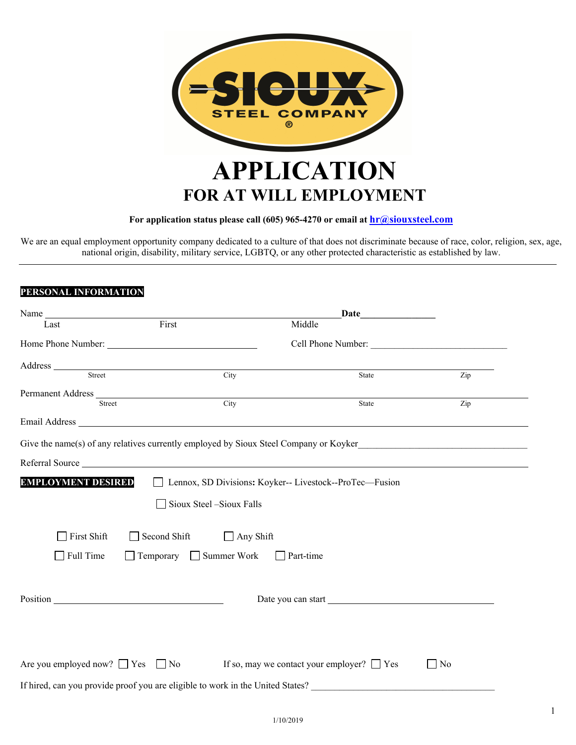

# **For application status please call (605) 965-4270 or email at hr@siouxsteel.com**

We are an equal employment opportunity company dedicated to a culture of that does not discriminate because of race, color, religion, sex, age, national origin, disability, military service, LGBTQ, or any other protected characteristic as established by law.

# **PERSONAL INFORMATION**

| Name                            |                                     | Date                                                                                       |           |
|---------------------------------|-------------------------------------|--------------------------------------------------------------------------------------------|-----------|
| Last                            | First                               | Middle                                                                                     |           |
|                                 |                                     | Cell Phone Number:                                                                         |           |
| Address Street                  |                                     |                                                                                            |           |
|                                 | City                                | State                                                                                      | Zip       |
| Permanent Address Finder Street |                                     |                                                                                            |           |
|                                 | City                                | State                                                                                      | Zip       |
|                                 |                                     |                                                                                            |           |
|                                 |                                     | Give the name(s) of any relatives currently employed by Sioux Steel Company or Koyker      |           |
|                                 |                                     | Referral Source                                                                            |           |
| <b>EMPLOYMENT DESIRED</b>       |                                     | □ Lennox, SD Divisions: Koyker-- Livestock--ProTec—Fusion                                  |           |
|                                 | Sioux Steel -Sioux Falls            |                                                                                            |           |
| First Shift                     | Second Shift<br>$\Box$ Any Shift    |                                                                                            |           |
| Full Time                       | $\Box$ Temporary $\Box$ Summer Work | $\Box$ Part-time                                                                           |           |
|                                 |                                     |                                                                                            |           |
|                                 |                                     |                                                                                            |           |
|                                 |                                     |                                                                                            |           |
|                                 |                                     |                                                                                            |           |
|                                 |                                     | Are you employed now? $\Box$ Yes $\Box$ No If so, may we contact your employer? $\Box$ Yes | $\Box$ No |
|                                 |                                     | If hired, can you provide proof you are eligible to work in the United States?             |           |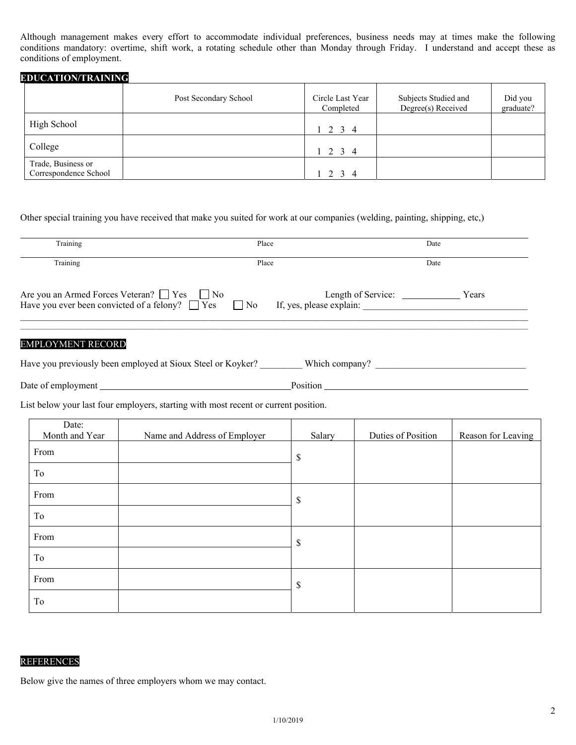Although management makes every effort to accommodate individual preferences, business needs may at times make the following conditions mandatory: overtime, shift work, a rotating schedule other than Monday through Friday. I understand and accept these as conditions of employment.

# **EDUCATION/TRAINING**

|                                             | Post Secondary School | Circle Last Year<br>Completed | Subjects Studied and<br>Degree(s) Received | Did you<br>graduate? |
|---------------------------------------------|-----------------------|-------------------------------|--------------------------------------------|----------------------|
| High School                                 |                       | $1 \t2 \t3 \t4$               |                                            |                      |
| College                                     |                       | $1 \t2 \t3 \t4$               |                                            |                      |
| Trade, Business or<br>Correspondence School |                       | $1 \t2 \t3 \t4$               |                                            |                      |

## Other special training you have received that make you suited for work at our companies (welding, painting, shipping, etc,)

| Training                                                                                                      | Place |                                                | Date  |
|---------------------------------------------------------------------------------------------------------------|-------|------------------------------------------------|-------|
| Training                                                                                                      | Place |                                                | Date  |
| Are you an Armed Forces Veteran? ■ Yes ■ No<br>Have you ever been convicted of a felony? $\Box$ Yes $\Box$ No |       | Length of Service:<br>If, yes, please explain: | Years |

## EMPLOYMENT RECORD

| Have you previously been employed at Sioux Steel or Koyker? |  |  |  | Which company |  |
|-------------------------------------------------------------|--|--|--|---------------|--|
|-------------------------------------------------------------|--|--|--|---------------|--|

Date of employment Position

List below your last four employers, starting with most recent or current position.

| Date:<br>Month and Year | Name and Address of Employer | Salary | Duties of Position | Reason for Leaving |
|-------------------------|------------------------------|--------|--------------------|--------------------|
| From                    |                              | \$     |                    |                    |
| To                      |                              |        |                    |                    |
| From                    |                              | \$     |                    |                    |
| To                      |                              |        |                    |                    |
| From                    |                              | S      |                    |                    |
| To                      |                              |        |                    |                    |
| From                    |                              | \$     |                    |                    |
| To                      |                              |        |                    |                    |

#### REFERENCES

Below give the names of three employers whom we may contact.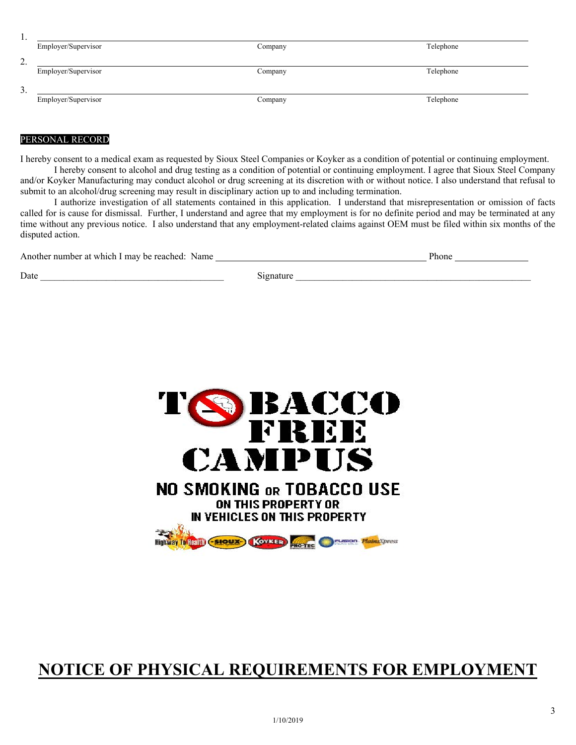| .,                    |                     |         |           |
|-----------------------|---------------------|---------|-----------|
|                       | Employer/Supervisor | Company | Telephone |
| ◠<br><u>.</u>         |                     |         |           |
|                       | Employer/Supervisor | Company | Telephone |
| ◠<br>$\mathfrak{I}$ . |                     |         |           |
|                       | Employer/Supervisor | Company | Telephone |

# PERSONAL RECORD

I hereby consent to a medical exam as requested by Sioux Steel Companies or Koyker as a condition of potential or continuing employment. I hereby consent to alcohol and drug testing as a condition of potential or continuing employment. I agree that Sioux Steel Company and/or Koyker Manufacturing may conduct alcohol or drug screening at its discretion with or without notice. I also understand that refusal to submit to an alcohol/drug screening may result in disciplinary action up to and including termination.

I authorize investigation of all statements contained in this application. I understand that misrepresentation or omission of facts called for is cause for dismissal. Further, I understand and agree that my employment is for no definite period and may be terminated at any time without any previous notice. I also understand that any employment-related claims against OEM must be filed within six months of the disputed action.

| Another number at which I may be reached: Name |           |  |
|------------------------------------------------|-----------|--|
| Date                                           | 12natureد |  |



# **NOTICE OF PHYSICAL REQUIREMENTS FOR EMPLOYMENT**